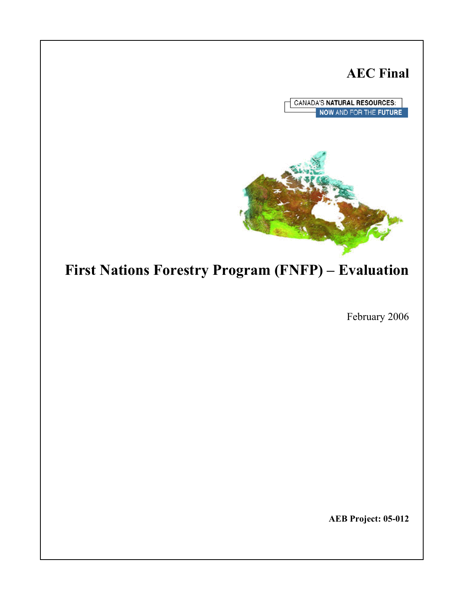# **AEC Final**

**CANADA'S NATURAL RESOURCES:** NOW AND FOR THE FUTURE



# **First Nations Forestry Program (FNFP) – Evaluation**

February 2006

**AEB Project: 05-012**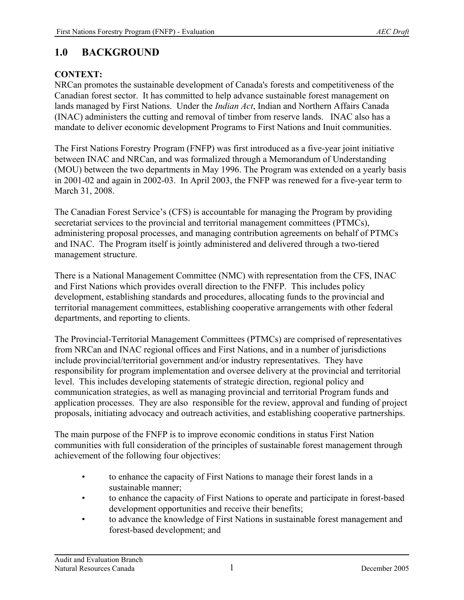# **1.0 BACKGROUND**

## **CONTEXT:**

NRCan promotes the sustainable development of Canada's forests and competitiveness of the Canadian forest sector. It has committed to help advance sustainable forest management on lands managed by First Nations. Under the *Indian Act*, Indian and Northern Affairs Canada (INAC) administers the cutting and removal of timber from reserve lands. INAC also has a mandate to deliver economic development Programs to First Nations and Inuit communities.

The First Nations Forestry Program (FNFP) was first introduced as a five-year joint initiative between INAC and NRCan, and was formalized through a Memorandum of Understanding (MOU) between the two departments in May 1996. The Program was extended on a yearly basis in 2001-02 and again in 2002-03. In April 2003, the FNFP was renewed for a five-year term to March 31, 2008.

The Canadian Forest Service's (CFS) is accountable for managing the Program by providing secretariat services to the provincial and territorial management committees (PTMCs), administering proposal processes, and managing contribution agreements on behalf of PTMCs and INAC. The Program itself is jointly administered and delivered through a two-tiered management structure.

There is a National Management Committee (NMC) with representation from the CFS, INAC and First Nations which provides overall direction to the FNFP. This includes policy development, establishing standards and procedures, allocating funds to the provincial and territorial management committees, establishing cooperative arrangements with other federal departments, and reporting to clients.

The Provincial-Territorial Management Committees (PTMCs) are comprised of representatives from NRCan and INAC regional offices and First Nations, and in a number of jurisdictions include provincial/territorial government and/or industry representatives. They have responsibility for program implementation and oversee delivery at the provincial and territorial level. This includes developing statements of strategic direction, regional policy and communication strategies, as well as managing provincial and territorial Program funds and application processes. They are also responsible for the review, approval and funding of project proposals, initiating advocacy and outreach activities, and establishing cooperative partnerships.

The main purpose of the FNFP is to improve economic conditions in status First Nation communities with full consideration of the principles of sustainable forest management through achievement of the following four objectives:

- to enhance the capacity of First Nations to manage their forest lands in a sustainable manner;
- to enhance the capacity of First Nations to operate and participate in forest-based development opportunities and receive their benefits;
- to advance the knowledge of First Nations in sustainable forest management and forest-based development; and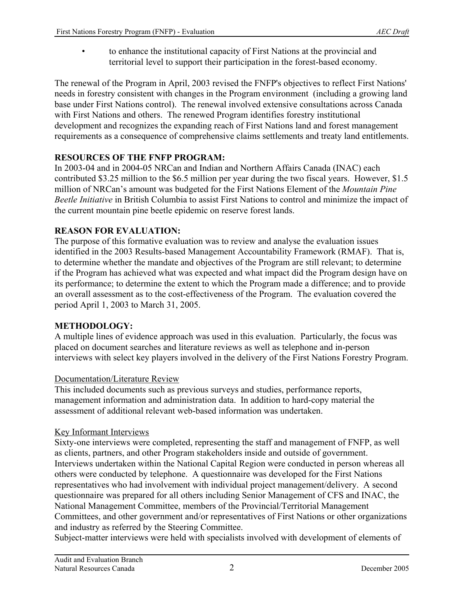• to enhance the institutional capacity of First Nations at the provincial and territorial level to support their participation in the forest-based economy.

The renewal of the Program in April, 2003 revised the FNFP's objectives to reflect First Nations' needs in forestry consistent with changes in the Program environment (including a growing land base under First Nations control). The renewal involved extensive consultations across Canada with First Nations and others. The renewed Program identifies forestry institutional development and recognizes the expanding reach of First Nations land and forest management requirements as a consequence of comprehensive claims settlements and treaty land entitlements.

## **RESOURCES OF THE FNFP PROGRAM:**

In 2003-04 and in 2004-05 NRCan and Indian and Northern Affairs Canada (INAC) each contributed \$3.25 million to the \$6.5 million per year during the two fiscal years. However, \$1.5 million of NRCan's amount was budgeted for the First Nations Element of the *Mountain Pine Beetle Initiative* in British Columbia to assist First Nations to control and minimize the impact of the current mountain pine beetle epidemic on reserve forest lands.

## **REASON FOR EVALUATION:**

The purpose of this formative evaluation was to review and analyse the evaluation issues identified in the 2003 Results-based Management Accountability Framework (RMAF). That is, to determine whether the mandate and objectives of the Program are still relevant; to determine if the Program has achieved what was expected and what impact did the Program design have on its performance; to determine the extent to which the Program made a difference; and to provide an overall assessment as to the cost-effectiveness of the Program. The evaluation covered the period April 1, 2003 to March 31, 2005.

## **METHODOLOGY:**

A multiple lines of evidence approach was used in this evaluation. Particularly, the focus was placed on document searches and literature reviews as well as telephone and in-person interviews with select key players involved in the delivery of the First Nations Forestry Program.

## Documentation/Literature Review

This included documents such as previous surveys and studies, performance reports, management information and administration data. In addition to hard-copy material the assessment of additional relevant web-based information was undertaken.

## Key Informant Interviews

Sixty-one interviews were completed, representing the staff and management of FNFP, as well as clients, partners, and other Program stakeholders inside and outside of government. Interviews undertaken within the National Capital Region were conducted in person whereas all others were conducted by telephone. A questionnaire was developed for the First Nations representatives who had involvement with individual project management/delivery. A second questionnaire was prepared for all others including Senior Management of CFS and INAC, the National Management Committee, members of the Provincial/Territorial Management Committees, and other government and/or representatives of First Nations or other organizations and industry as referred by the Steering Committee.

Subject-matter interviews were held with specialists involved with development of elements of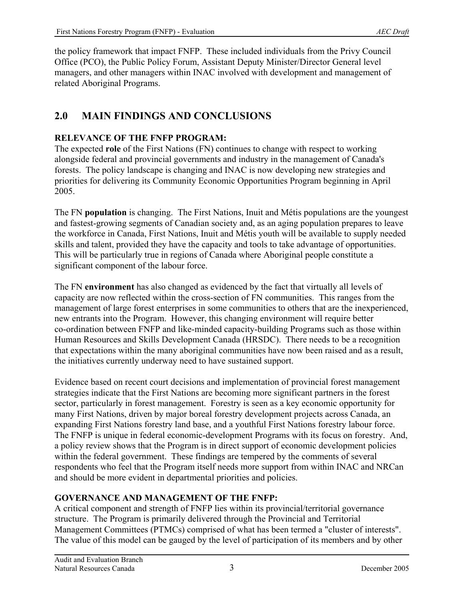the policy framework that impact FNFP. These included individuals from the Privy Council Office (PCO), the Public Policy Forum, Assistant Deputy Minister/Director General level managers, and other managers within INAC involved with development and management of related Aboriginal Programs.

# **2.0 MAIN FINDINGS AND CONCLUSIONS**

### **RELEVANCE OF THE FNFP PROGRAM:**

The expected **role** of the First Nations (FN) continues to change with respect to working alongside federal and provincial governments and industry in the management of Canada's forests. The policy landscape is changing and INAC is now developing new strategies and priorities for delivering its Community Economic Opportunities Program beginning in April 2005.

The FN **population** is changing. The First Nations, Inuit and Métis populations are the youngest and fastest-growing segments of Canadian society and, as an aging population prepares to leave the workforce in Canada, First Nations, Inuit and Métis youth will be available to supply needed skills and talent, provided they have the capacity and tools to take advantage of opportunities. This will be particularly true in regions of Canada where Aboriginal people constitute a significant component of the labour force.

The FN **environment** has also changed as evidenced by the fact that virtually all levels of capacity are now reflected within the cross-section of FN communities. This ranges from the management of large forest enterprises in some communities to others that are the inexperienced, new entrants into the Program. However, this changing environment will require better co-ordination between FNFP and like-minded capacity-building Programs such as those within Human Resources and Skills Development Canada (HRSDC). There needs to be a recognition that expectations within the many aboriginal communities have now been raised and as a result, the initiatives currently underway need to have sustained support.

Evidence based on recent court decisions and implementation of provincial forest management strategies indicate that the First Nations are becoming more significant partners in the forest sector, particularly in forest management. Forestry is seen as a key economic opportunity for many First Nations, driven by major boreal forestry development projects across Canada, an expanding First Nations forestry land base, and a youthful First Nations forestry labour force. The FNFP is unique in federal economic-development Programs with its focus on forestry. And, a policy review shows that the Program is in direct support of economic development policies within the federal government. These findings are tempered by the comments of several respondents who feel that the Program itself needs more support from within INAC and NRCan and should be more evident in departmental priorities and policies.

## **GOVERNANCE AND MANAGEMENT OF THE FNFP:**

A critical component and strength of FNFP lies within its provincial/territorial governance structure. The Program is primarily delivered through the Provincial and Territorial Management Committees (PTMCs) comprised of what has been termed a "cluster of interests". The value of this model can be gauged by the level of participation of its members and by other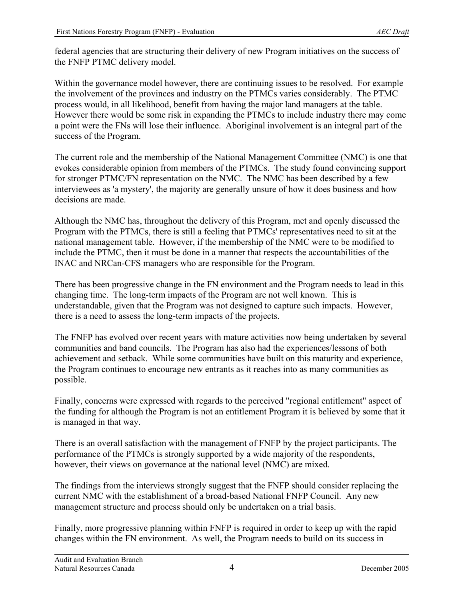federal agencies that are structuring their delivery of new Program initiatives on the success of the FNFP PTMC delivery model.

Within the governance model however, there are continuing issues to be resolved. For example the involvement of the provinces and industry on the PTMCs varies considerably. The PTMC process would, in all likelihood, benefit from having the major land managers at the table. However there would be some risk in expanding the PTMCs to include industry there may come a point were the FNs will lose their influence. Aboriginal involvement is an integral part of the success of the Program.

The current role and the membership of the National Management Committee (NMC) is one that evokes considerable opinion from members of the PTMCs. The study found convincing support for stronger PTMC/FN representation on the NMC. The NMC has been described by a few interviewees as 'a mystery', the majority are generally unsure of how it does business and how decisions are made.

Although the NMC has, throughout the delivery of this Program, met and openly discussed the Program with the PTMCs, there is still a feeling that PTMCs' representatives need to sit at the national management table. However, if the membership of the NMC were to be modified to include the PTMC, then it must be done in a manner that respects the accountabilities of the INAC and NRCan-CFS managers who are responsible for the Program.

There has been progressive change in the FN environment and the Program needs to lead in this changing time. The long-term impacts of the Program are not well known. This is understandable, given that the Program was not designed to capture such impacts. However, there is a need to assess the long-term impacts of the projects.

The FNFP has evolved over recent years with mature activities now being undertaken by several communities and band councils. The Program has also had the experiences/lessons of both achievement and setback. While some communities have built on this maturity and experience, the Program continues to encourage new entrants as it reaches into as many communities as possible.

Finally, concerns were expressed with regards to the perceived "regional entitlement" aspect of the funding for although the Program is not an entitlement Program it is believed by some that it is managed in that way.

There is an overall satisfaction with the management of FNFP by the project participants. The performance of the PTMCs is strongly supported by a wide majority of the respondents, however, their views on governance at the national level (NMC) are mixed.

The findings from the interviews strongly suggest that the FNFP should consider replacing the current NMC with the establishment of a broad-based National FNFP Council. Any new management structure and process should only be undertaken on a trial basis.

Finally, more progressive planning within FNFP is required in order to keep up with the rapid changes within the FN environment. As well, the Program needs to build on its success in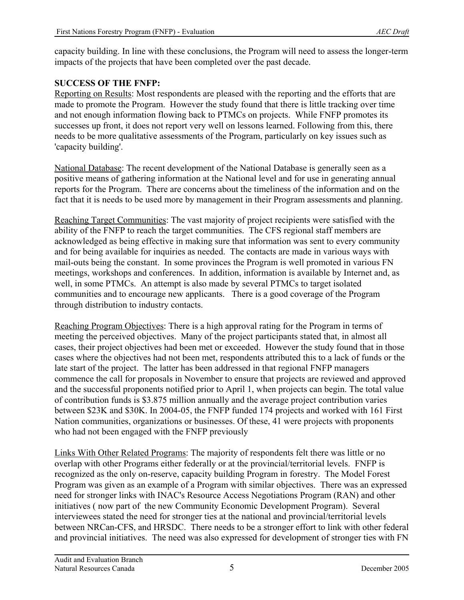capacity building. In line with these conclusions, the Program will need to assess the longer-term impacts of the projects that have been completed over the past decade.

## **SUCCESS OF THE FNFP:**

Reporting on Results: Most respondents are pleased with the reporting and the efforts that are made to promote the Program. However the study found that there is little tracking over time and not enough information flowing back to PTMCs on projects. While FNFP promotes its successes up front, it does not report very well on lessons learned. Following from this, there needs to be more qualitative assessments of the Program, particularly on key issues such as 'capacity building'.

National Database: The recent development of the National Database is generally seen as a positive means of gathering information at the National level and for use in generating annual reports for the Program. There are concerns about the timeliness of the information and on the fact that it is needs to be used more by management in their Program assessments and planning.

Reaching Target Communities: The vast majority of project recipients were satisfied with the ability of the FNFP to reach the target communities. The CFS regional staff members are acknowledged as being effective in making sure that information was sent to every community and for being available for inquiries as needed. The contacts are made in various ways with mail-outs being the constant. In some provinces the Program is well promoted in various FN meetings, workshops and conferences. In addition, information is available by Internet and, as well, in some PTMCs. An attempt is also made by several PTMCs to target isolated communities and to encourage new applicants. There is a good coverage of the Program through distribution to industry contacts.

Reaching Program Objectives: There is a high approval rating for the Program in terms of meeting the perceived objectives. Many of the project participants stated that, in almost all cases, their project objectives had been met or exceeded. However the study found that in those cases where the objectives had not been met, respondents attributed this to a lack of funds or the late start of the project. The latter has been addressed in that regional FNFP managers commence the call for proposals in November to ensure that projects are reviewed and approved and the successful proponents notified prior to April 1, when projects can begin. The total value of contribution funds is \$3.875 million annually and the average project contribution varies between \$23K and \$30K. In 2004-05, the FNFP funded 174 projects and worked with 161 First Nation communities, organizations or businesses. Of these, 41 were projects with proponents who had not been engaged with the FNFP previously

Links With Other Related Programs: The majority of respondents felt there was little or no overlap with other Programs either federally or at the provincial/territorial levels. FNFP is recognized as the only on-reserve, capacity building Program in forestry. The Model Forest Program was given as an example of a Program with similar objectives. There was an expressed need for stronger links with INAC's Resource Access Negotiations Program (RAN) and other initiatives ( now part of the new Community Economic Development Program). Several interviewees stated the need for stronger ties at the national and provincial/territorial levels between NRCan-CFS, and HRSDC. There needs to be a stronger effort to link with other federal and provincial initiatives. The need was also expressed for development of stronger ties with FN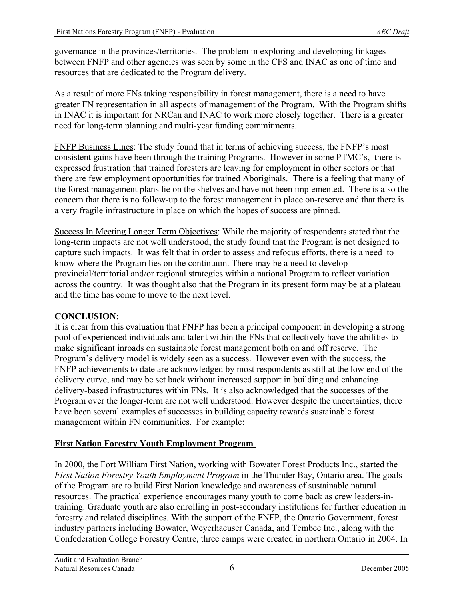governance in the provinces/territories. The problem in exploring and developing linkages between FNFP and other agencies was seen by some in the CFS and INAC as one of time and resources that are dedicated to the Program delivery.

As a result of more FNs taking responsibility in forest management, there is a need to have greater FN representation in all aspects of management of the Program. With the Program shifts in INAC it is important for NRCan and INAC to work more closely together. There is a greater need for long-term planning and multi-year funding commitments.

FNFP Business Lines: The study found that in terms of achieving success, the FNFP's most consistent gains have been through the training Programs. However in some PTMC's, there is expressed frustration that trained foresters are leaving for employment in other sectors or that there are few employment opportunities for trained Aboriginals. There is a feeling that many of the forest management plans lie on the shelves and have not been implemented. There is also the concern that there is no follow-up to the forest management in place on-reserve and that there is a very fragile infrastructure in place on which the hopes of success are pinned.

Success In Meeting Longer Term Objectives: While the majority of respondents stated that the long-term impacts are not well understood, the study found that the Program is not designed to capture such impacts. It was felt that in order to assess and refocus efforts, there is a need to know where the Program lies on the continuum. There may be a need to develop provincial/territorial and/or regional strategies within a national Program to reflect variation across the country. It was thought also that the Program in its present form may be at a plateau and the time has come to move to the next level.

#### **CONCLUSION:**

It is clear from this evaluation that FNFP has been a principal component in developing a strong pool of experienced individuals and talent within the FNs that collectively have the abilities to make significant inroads on sustainable forest management both on and off reserve. The Program's delivery model is widely seen as a success. However even with the success, the FNFP achievements to date are acknowledged by most respondents as still at the low end of the delivery curve, and may be set back without increased support in building and enhancing delivery-based infrastructures within FNs. It is also acknowledged that the successes of the Program over the longer-term are not well understood. However despite the uncertainties, there have been several examples of successes in building capacity towards sustainable forest management within FN communities. For example:

## **First Nation Forestry Youth Employment Program**

In 2000, the Fort William First Nation, working with Bowater Forest Products Inc., started the *First Nation Forestry Youth Employment Program* in the Thunder Bay, Ontario area. The goals of the Program are to build First Nation knowledge and awareness of sustainable natural resources. The practical experience encourages many youth to come back as crew leaders-intraining. Graduate youth are also enrolling in post-secondary institutions for further education in forestry and related disciplines. With the support of the FNFP, the Ontario Government, forest industry partners including Bowater, Weyerhaeuser Canada, and Tembec Inc., along with the Confederation College Forestry Centre, three camps were created in northern Ontario in 2004. In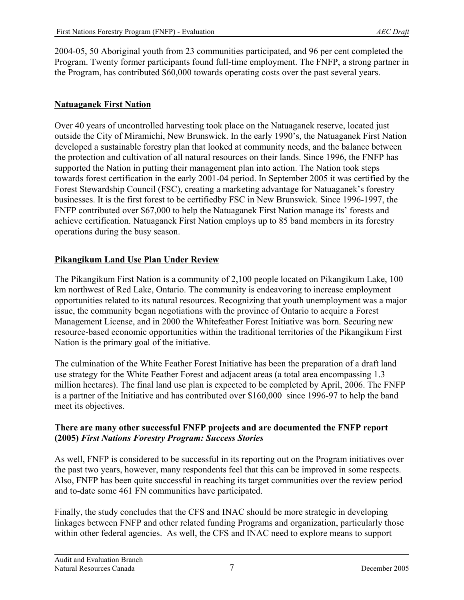2004-05, 50 Aboriginal youth from 23 communities participated, and 96 per cent completed the Program. Twenty former participants found full-time employment. The FNFP, a strong partner in the Program, has contributed \$60,000 towards operating costs over the past several years.

## **Natuaganek First Nation**

Over 40 years of uncontrolled harvesting took place on the Natuaganek reserve, located just outside the City of Miramichi, New Brunswick. In the early 1990's, the Natuaganek First Nation developed a sustainable forestry plan that looked at community needs, and the balance between the protection and cultivation of all natural resources on their lands. Since 1996, the FNFP has supported the Nation in putting their management plan into action. The Nation took steps towards forest certification in the early 2001-04 period. In September 2005 it was certified by the Forest Stewardship Council (FSC), creating a marketing advantage for Natuaganek's forestry businesses. It is the first forest to be certifiedby FSC in New Brunswick. Since 1996-1997, the FNFP contributed over \$67,000 to help the Natuaganek First Nation manage its' forests and achieve certification. Natuaganek First Nation employs up to 85 band members in its forestry operations during the busy season.

### **Pikangikum Land Use Plan Under Review**

The Pikangikum First Nation is a community of 2,100 people located on Pikangikum Lake, 100 km northwest of Red Lake, Ontario. The community is endeavoring to increase employment opportunities related to its natural resources. Recognizing that youth unemployment was a major issue, the community began negotiations with the province of Ontario to acquire a Forest Management License, and in 2000 the Whitefeather Forest Initiative was born. Securing new resource-based economic opportunities within the traditional territories of the Pikangikum First Nation is the primary goal of the initiative.

The culmination of the White Feather Forest Initiative has been the preparation of a draft land use strategy for the White Feather Forest and adjacent areas (a total area encompassing 1.3 million hectares). The final land use plan is expected to be completed by April, 2006. The FNFP is a partner of the Initiative and has contributed over \$160,000 since 1996-97 to help the band meet its objectives.

#### **There are many other successful FNFP projects and are documented the FNFP report (2005)** *First Nations Forestry Program: Success Stories*

As well, FNFP is considered to be successful in its reporting out on the Program initiatives over the past two years, however, many respondents feel that this can be improved in some respects. Also, FNFP has been quite successful in reaching its target communities over the review period and to-date some 461 FN communities have participated.

Finally, the study concludes that the CFS and INAC should be more strategic in developing linkages between FNFP and other related funding Programs and organization, particularly those within other federal agencies. As well, the CFS and INAC need to explore means to support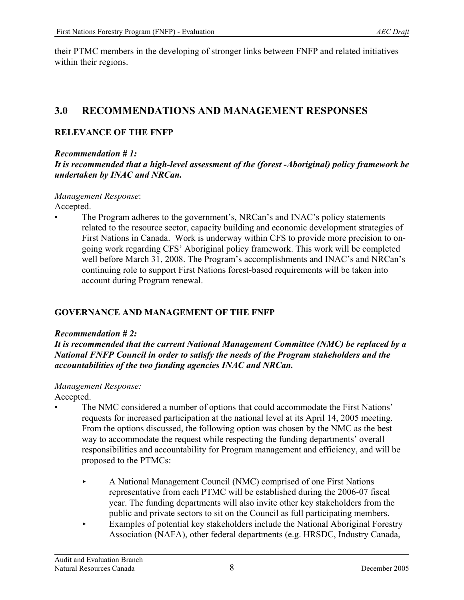their PTMC members in the developing of stronger links between FNFP and related initiatives within their regions.

# **3.0 RECOMMENDATIONS AND MANAGEMENT RESPONSES**

## **RELEVANCE OF THE FNFP**

*Recommendation # 1:* 

*It is recommended that a high-level assessment of the (forest -Aboriginal) policy framework be undertaken by INAC and NRCan.*

*Management Response*: Accepted.

• The Program adheres to the government's, NRCan's and INAC's policy statements related to the resource sector, capacity building and economic development strategies of First Nations in Canada. Work is underway within CFS to provide more precision to ongoing work regarding CFS' Aboriginal policy framework. This work will be completed well before March 31, 2008. The Program's accomplishments and INAC's and NRCan's continuing role to support First Nations forest-based requirements will be taken into account during Program renewal.

## **GOVERNANCE AND MANAGEMENT OF THE FNFP**

#### *Recommendation # 2:*

*It is recommended that the current National Management Committee (NMC) be replaced by a National FNFP Council in order to satisfy the needs of the Program stakeholders and the accountabilities of the two funding agencies INAC and NRCan.*

#### *Management Response:*

Accepted.

- The NMC considered a number of options that could accommodate the First Nations' requests for increased participation at the national level at its April 14, 2005 meeting. From the options discussed, the following option was chosen by the NMC as the best way to accommodate the request while respecting the funding departments' overall responsibilities and accountability for Program management and efficiency, and will be proposed to the PTMCs:
	- < A National Management Council (NMC) comprised of one First Nations representative from each PTMC will be established during the 2006-07 fiscal year. The funding departments will also invite other key stakeholders from the public and private sectors to sit on the Council as full participating members.
	- < Examples of potential key stakeholders include the National Aboriginal Forestry Association (NAFA), other federal departments (e.g. HRSDC, Industry Canada,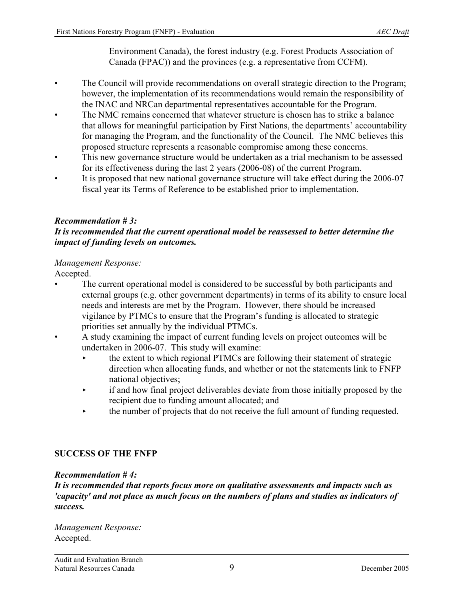Environment Canada), the forest industry (e.g. Forest Products Association of Canada (FPAC)) and the provinces (e.g. a representative from CCFM).

- The Council will provide recommendations on overall strategic direction to the Program; however, the implementation of its recommendations would remain the responsibility of the INAC and NRCan departmental representatives accountable for the Program.
- The NMC remains concerned that whatever structure is chosen has to strike a balance that allows for meaningful participation by First Nations, the departments' accountability for managing the Program, and the functionality of the Council. The NMC believes this proposed structure represents a reasonable compromise among these concerns.
- This new governance structure would be undertaken as a trial mechanism to be assessed for its effectiveness during the last 2 years (2006-08) of the current Program.
- It is proposed that new national governance structure will take effect during the 2006-07 fiscal year its Terms of Reference to be established prior to implementation.

#### *Recommendation # 3:*

#### *It is recommended that the current operational model be reassessed to better determine the impact of funding levels on outcomes.*

#### *Management Response:*

Accepted.

- The current operational model is considered to be successful by both participants and external groups (e.g. other government departments) in terms of its ability to ensure local needs and interests are met by the Program. However, there should be increased vigilance by PTMCs to ensure that the Program's funding is allocated to strategic priorities set annually by the individual PTMCs.
- A study examining the impact of current funding levels on project outcomes will be undertaken in 2006-07. This study will examine:
	- the extent to which regional PTMCs are following their statement of strategic direction when allocating funds, and whether or not the statements link to FNFP national objectives;
	- < if and how final project deliverables deviate from those initially proposed by the recipient due to funding amount allocated; and
	- $\rightarrow$  the number of projects that do not receive the full amount of funding requested.

#### **SUCCESS OF THE FNFP**

#### *Recommendation # 4:*

*It is recommended that reports focus more on qualitative assessments and impacts such as 'capacity' and not place as much focus on the numbers of plans and studies as indicators of success.*

*Management Response:* Accepted.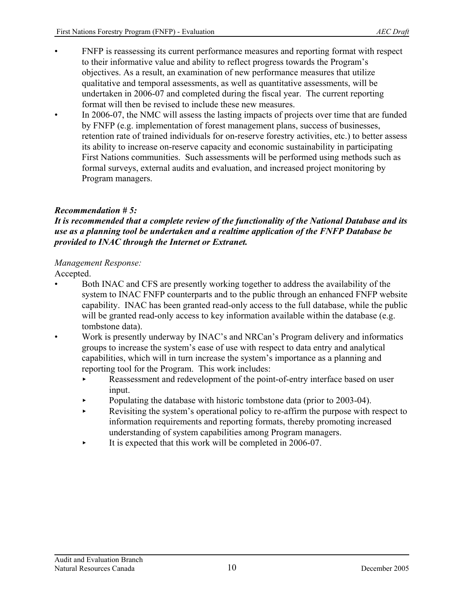- FNFP is reassessing its current performance measures and reporting format with respect to their informative value and ability to reflect progress towards the Program's objectives. As a result, an examination of new performance measures that utilize qualitative and temporal assessments, as well as quantitative assessments, will be undertaken in 2006-07 and completed during the fiscal year. The current reporting format will then be revised to include these new measures.
- In 2006-07, the NMC will assess the lasting impacts of projects over time that are funded by FNFP (e.g. implementation of forest management plans, success of businesses, retention rate of trained individuals for on-reserve forestry activities, etc.) to better assess its ability to increase on-reserve capacity and economic sustainability in participating First Nations communities. Such assessments will be performed using methods such as formal surveys, external audits and evaluation, and increased project monitoring by Program managers.

## *Recommendation # 5:*

#### *It is recommended that a complete review of the functionality of the National Database and its use as a planning tool be undertaken and a realtime application of the FNFP Database be provided to INAC through the Internet or Extranet.*

#### *Management Response:*

Accepted.

- Both INAC and CFS are presently working together to address the availability of the system to INAC FNFP counterparts and to the public through an enhanced FNFP website capability. INAC has been granted read-only access to the full database, while the public will be granted read-only access to key information available within the database (e.g. tombstone data).
- Work is presently underway by INAC's and NRCan's Program delivery and informatics groups to increase the system's ease of use with respect to data entry and analytical capabilities, which will in turn increase the system's importance as a planning and reporting tool for the Program. This work includes:
	- Reassessment and redevelopment of the point-of-entry interface based on user input.
	- $\blacktriangleright$  Populating the database with historic tombstone data (prior to 2003-04).
	- Revisiting the system's operational policy to re-affirm the purpose with respect to information requirements and reporting formats, thereby promoting increased understanding of system capabilities among Program managers.
	- It is expected that this work will be completed in 2006-07.